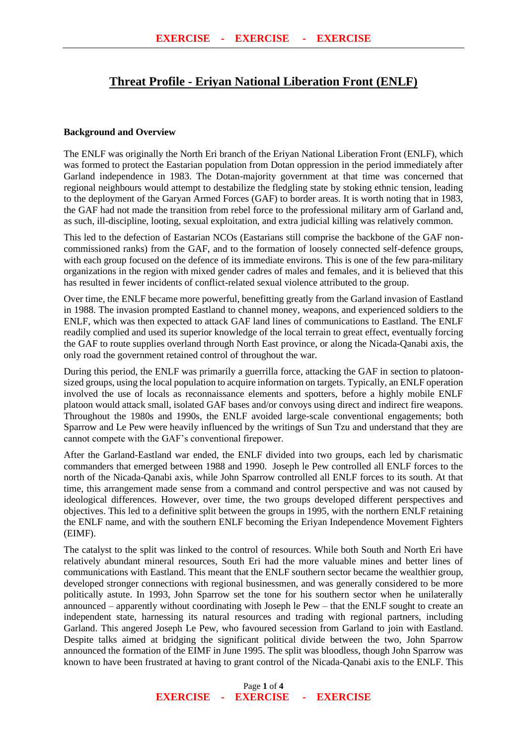## **Threat Profile - Eriyan National Liberation Front (ENLF)**

## **Background and Overview**

The ENLF was originally the North Eri branch of the Eriyan National Liberation Front (ENLF), which was formed to protect the Eastarian population from Dotan oppression in the period immediately after Garland independence in 1983. The Dotan-majority government at that time was concerned that regional neighbours would attempt to destabilize the fledgling state by stoking ethnic tension, leading to the deployment of the Garyan Armed Forces (GAF) to border areas. It is worth noting that in 1983, the GAF had not made the transition from rebel force to the professional military arm of Garland and, as such, ill-discipline, looting, sexual exploitation, and extra judicial killing was relatively common.

This led to the defection of Eastarian NCOs (Eastarians still comprise the backbone of the GAF noncommissioned ranks) from the GAF, and to the formation of loosely connected self-defence groups, with each group focused on the defence of its immediate environs. This is one of the few para-military organizations in the region with mixed gender cadres of males and females, and it is believed that this has resulted in fewer incidents of conflict-related sexual violence attributed to the group.

Over time, the ENLF became more powerful, benefitting greatly from the Garland invasion of Eastland in 1988. The invasion prompted Eastland to channel money, weapons, and experienced soldiers to the ENLF, which was then expected to attack GAF land lines of communications to Eastland. The ENLF readily complied and used its superior knowledge of the local terrain to great effect, eventually forcing the GAF to route supplies overland through North East province, or along the Nicada-Qanabi axis, the only road the government retained control of throughout the war.

During this period, the ENLF was primarily a guerrilla force, attacking the GAF in section to platoonsized groups, using the local population to acquire information on targets. Typically, an ENLF operation involved the use of locals as reconnaissance elements and spotters, before a highly mobile ENLF platoon would attack small, isolated GAF bases and/or convoys using direct and indirect fire weapons. Throughout the 1980s and 1990s, the ENLF avoided large-scale conventional engagements; both Sparrow and Le Pew were heavily influenced by the writings of Sun Tzu and understand that they are cannot compete with the GAF's conventional firepower.

After the Garland-Eastland war ended, the ENLF divided into two groups, each led by charismatic commanders that emerged between 1988 and 1990. Joseph le Pew controlled all ENLF forces to the north of the Nicada-Qanabi axis, while John Sparrow controlled all ENLF forces to its south. At that time, this arrangement made sense from a command and control perspective and was not caused by ideological differences. However, over time, the two groups developed different perspectives and objectives. This led to a definitive split between the groups in 1995, with the northern ENLF retaining the ENLF name, and with the southern ENLF becoming the Eriyan Independence Movement Fighters (EIMF).

The catalyst to the split was linked to the control of resources. While both South and North Eri have relatively abundant mineral resources, South Eri had the more valuable mines and better lines of communications with Eastland. This meant that the ENLF southern sector became the wealthier group, developed stronger connections with regional businessmen, and was generally considered to be more politically astute. In 1993, John Sparrow set the tone for his southern sector when he unilaterally announced – apparently without coordinating with Joseph le Pew – that the ENLF sought to create an independent state, harnessing its natural resources and trading with regional partners, including Garland. This angered Joseph Le Pew, who favoured secession from Garland to join with Eastland. Despite talks aimed at bridging the significant political divide between the two, John Sparrow announced the formation of the EIMF in June 1995. The split was bloodless, though John Sparrow was known to have been frustrated at having to grant control of the Nicada-Qanabi axis to the ENLF. This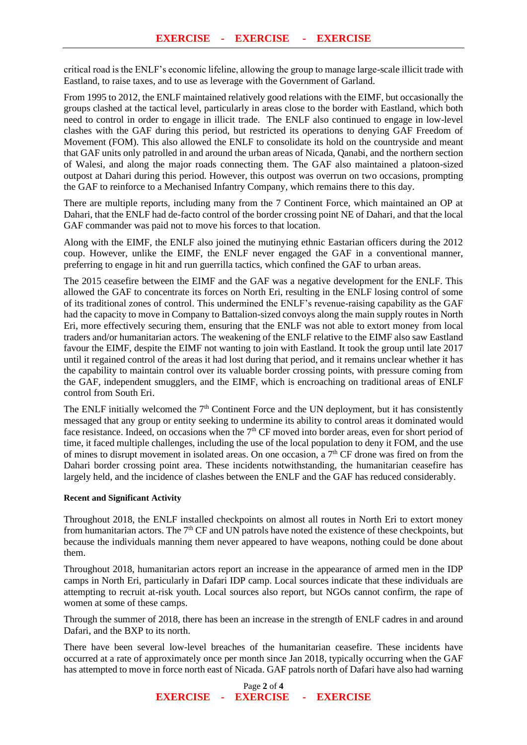critical road is the ENLF's economic lifeline, allowing the group to manage large-scale illicit trade with Eastland, to raise taxes, and to use as leverage with the Government of Garland.

From 1995 to 2012, the ENLF maintained relatively good relations with the EIMF, but occasionally the groups clashed at the tactical level, particularly in areas close to the border with Eastland, which both need to control in order to engage in illicit trade. The ENLF also continued to engage in low-level clashes with the GAF during this period, but restricted its operations to denying GAF Freedom of Movement (FOM). This also allowed the ENLF to consolidate its hold on the countryside and meant that GAF units only patrolled in and around the urban areas of Nicada, Qanabi, and the northern section of Walesi, and along the major roads connecting them. The GAF also maintained a platoon-sized outpost at Dahari during this period. However, this outpost was overrun on two occasions, prompting the GAF to reinforce to a Mechanised Infantry Company, which remains there to this day.

There are multiple reports, including many from the 7 Continent Force, which maintained an OP at Dahari, that the ENLF had de-facto control of the border crossing point NE of Dahari, and that the local GAF commander was paid not to move his forces to that location.

Along with the EIMF, the ENLF also joined the mutinying ethnic Eastarian officers during the 2012 coup. However, unlike the EIMF, the ENLF never engaged the GAF in a conventional manner, preferring to engage in hit and run guerrilla tactics, which confined the GAF to urban areas.

The 2015 ceasefire between the EIMF and the GAF was a negative development for the ENLF. This allowed the GAF to concentrate its forces on North Eri, resulting in the ENLF losing control of some of its traditional zones of control. This undermined the ENLF's revenue-raising capability as the GAF had the capacity to move in Company to Battalion-sized convoys along the main supply routes in North Eri, more effectively securing them, ensuring that the ENLF was not able to extort money from local traders and/or humanitarian actors. The weakening of the ENLF relative to the EIMF also saw Eastland favour the EIMF, despite the EIMF not wanting to join with Eastland. It took the group until late 2017 until it regained control of the areas it had lost during that period, and it remains unclear whether it has the capability to maintain control over its valuable border crossing points, with pressure coming from the GAF, independent smugglers, and the EIMF, which is encroaching on traditional areas of ENLF control from South Eri.

The ENLF initially welcomed the  $7<sup>th</sup>$  Continent Force and the UN deployment, but it has consistently messaged that any group or entity seeking to undermine its ability to control areas it dominated would face resistance. Indeed, on occasions when the  $7<sup>th</sup>$  CF moved into border areas, even for short period of time, it faced multiple challenges, including the use of the local population to deny it FOM, and the use of mines to disrupt movement in isolated areas. On one occasion, a  $7<sup>th</sup>$  CF drone was fired on from the Dahari border crossing point area. These incidents notwithstanding, the humanitarian ceasefire has largely held, and the incidence of clashes between the ENLF and the GAF has reduced considerably.

## **Recent and Significant Activity**

Throughout 2018, the ENLF installed checkpoints on almost all routes in North Eri to extort money from humanitarian actors. The  $7<sup>th</sup>$  CF and UN patrols have noted the existence of these checkpoints, but because the individuals manning them never appeared to have weapons, nothing could be done about them.

Throughout 2018, humanitarian actors report an increase in the appearance of armed men in the IDP camps in North Eri, particularly in Dafari IDP camp. Local sources indicate that these individuals are attempting to recruit at-risk youth. Local sources also report, but NGOs cannot confirm, the rape of women at some of these camps.

Through the summer of 2018, there has been an increase in the strength of ENLF cadres in and around Dafari, and the BXP to its north.

There have been several low-level breaches of the humanitarian ceasefire. These incidents have occurred at a rate of approximately once per month since Jan 2018, typically occurring when the GAF has attempted to move in force north east of Nicada. GAF patrols north of Dafari have also had warning

> Page **2** of **4 EXERCISE - EXERCISE - EXERCISE**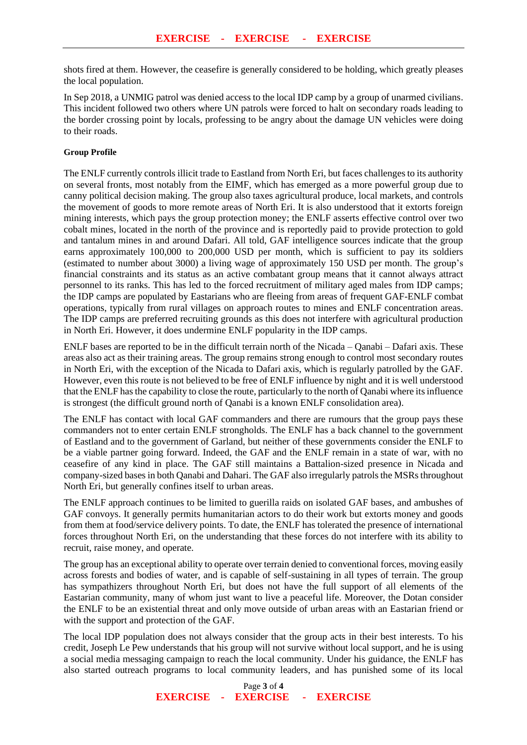shots fired at them. However, the ceasefire is generally considered to be holding, which greatly pleases the local population.

In Sep 2018, a UNMIG patrol was denied access to the local IDP camp by a group of unarmed civilians. This incident followed two others where UN patrols were forced to halt on secondary roads leading to the border crossing point by locals, professing to be angry about the damage UN vehicles were doing to their roads.

## **Group Profile**

The ENLF currently controls illicit trade to Eastland from North Eri, but faces challenges to its authority on several fronts, most notably from the EIMF, which has emerged as a more powerful group due to canny political decision making. The group also taxes agricultural produce, local markets, and controls the movement of goods to more remote areas of North Eri. It is also understood that it extorts foreign mining interests, which pays the group protection money; the ENLF asserts effective control over two cobalt mines, located in the north of the province and is reportedly paid to provide protection to gold and tantalum mines in and around Dafari. All told, GAF intelligence sources indicate that the group earns approximately 100,000 to 200,000 USD per month, which is sufficient to pay its soldiers (estimated to number about 3000) a living wage of approximately 150 USD per month. The group's financial constraints and its status as an active combatant group means that it cannot always attract personnel to its ranks. This has led to the forced recruitment of military aged males from IDP camps; the IDP camps are populated by Eastarians who are fleeing from areas of frequent GAF-ENLF combat operations, typically from rural villages on approach routes to mines and ENLF concentration areas. The IDP camps are preferred recruiting grounds as this does not interfere with agricultural production in North Eri. However, it does undermine ENLF popularity in the IDP camps.

ENLF bases are reported to be in the difficult terrain north of the Nicada – Qanabi – Dafari axis. These areas also act as their training areas. The group remains strong enough to control most secondary routes in North Eri, with the exception of the Nicada to Dafari axis, which is regularly patrolled by the GAF. However, even this route is not believed to be free of ENLF influence by night and it is well understood that the ENLF has the capability to close the route, particularly to the north of Qanabi where its influence is strongest (the difficult ground north of Qanabi is a known ENLF consolidation area).

The ENLF has contact with local GAF commanders and there are rumours that the group pays these commanders not to enter certain ENLF strongholds. The ENLF has a back channel to the government of Eastland and to the government of Garland, but neither of these governments consider the ENLF to be a viable partner going forward. Indeed, the GAF and the ENLF remain in a state of war, with no ceasefire of any kind in place. The GAF still maintains a Battalion-sized presence in Nicada and company-sized bases in both Qanabi and Dahari. The GAF also irregularly patrols the MSRs throughout North Eri, but generally confines itself to urban areas.

The ENLF approach continues to be limited to guerilla raids on isolated GAF bases, and ambushes of GAF convoys. It generally permits humanitarian actors to do their work but extorts money and goods from them at food/service delivery points. To date, the ENLF has tolerated the presence of international forces throughout North Eri, on the understanding that these forces do not interfere with its ability to recruit, raise money, and operate.

The group has an exceptional ability to operate over terrain denied to conventional forces, moving easily across forests and bodies of water, and is capable of self-sustaining in all types of terrain. The group has sympathizers throughout North Eri, but does not have the full support of all elements of the Eastarian community, many of whom just want to live a peaceful life. Moreover, the Dotan consider the ENLF to be an existential threat and only move outside of urban areas with an Eastarian friend or with the support and protection of the GAF.

The local IDP population does not always consider that the group acts in their best interests. To his credit, Joseph Le Pew understands that his group will not survive without local support, and he is using a social media messaging campaign to reach the local community. Under his guidance, the ENLF has also started outreach programs to local community leaders, and has punished some of its local

> Page **3** of **4 EXERCISE - EXERCISE - EXERCISE**